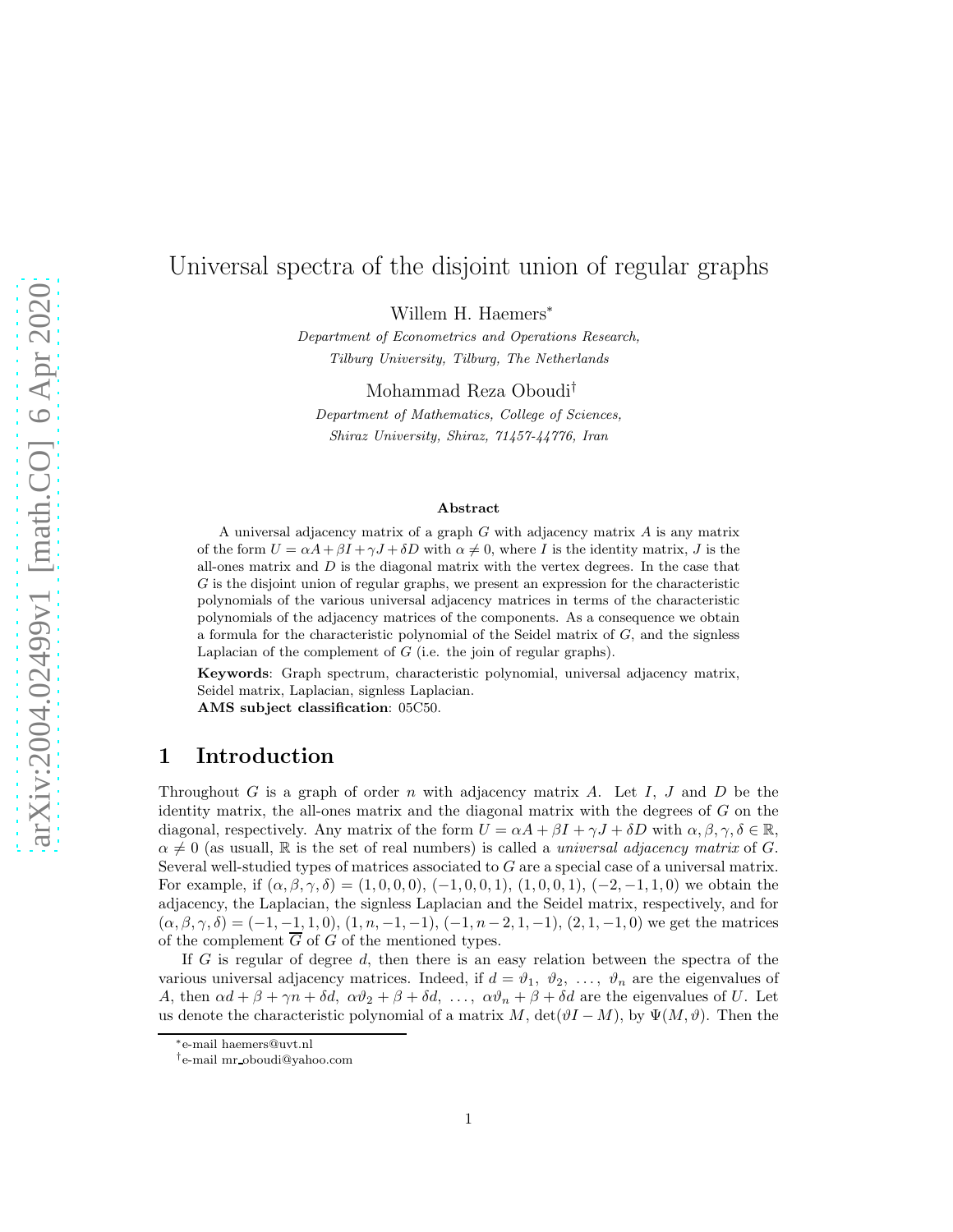# Universal spectra of the disjoint union of regular graphs

Willem H. Haemers<sup>\*</sup>

Department of Econometrics and Operations Research, Tilburg University, Tilburg, The Netherlands

Mohammad Reza Oboudi† Department of Mathematics, College of Sciences,

Shiraz University, Shiraz, 71457-44776, Iran

#### Abstract

A universal adjacency matrix of a graph  $G$  with adjacency matrix  $A$  is any matrix of the form  $U = \alpha A + \beta I + \gamma J + \delta D$  with  $\alpha \neq 0$ , where I is the identity matrix, J is the all-ones matrix and  $D$  is the diagonal matrix with the vertex degrees. In the case that G is the disjoint union of regular graphs, we present an expression for the characteristic polynomials of the various universal adjacency matrices in terms of the characteristic polynomials of the adjacency matrices of the components. As a consequence we obtain a formula for the characteristic polynomial of the Seidel matrix of  $G$ , and the signless Laplacian of the complement of  $G$  (i.e. the join of regular graphs).

Keywords: Graph spectrum, characteristic polynomial, universal adjacency matrix, Seidel matrix, Laplacian, signless Laplacian. AMS subject classification: 05C50.

# 1 Introduction

Throughout G is a graph of order n with adjacency matrix A. Let I, J and D be the identity matrix, the all-ones matrix and the diagonal matrix with the degrees of  $G$  on the diagonal, respectively. Any matrix of the form  $U = \alpha A + \beta I + \gamma J + \delta D$  with  $\alpha, \beta, \gamma, \delta \in \mathbb{R}$ ,  $\alpha \neq 0$  (as usuall, R is the set of real numbers) is called a *universal adjacency matrix* of G. Several well-studied types of matrices associated to G are a special case of a universal matrix. For example, if  $(\alpha, \beta, \gamma, \delta) = (1, 0, 0, 0), (-1, 0, 0, 1), (1, 0, 0, 1), (-2, -1, 1, 0)$  we obtain the adjacency, the Laplacian, the signless Laplacian and the Seidel matrix, respectively, and for  $(\alpha, \beta, \gamma, \delta) = (-1, -1, 1, 0), (1, n, -1, -1), (-1, n-2, 1, -1), (2, 1, -1, 0)$  we get the matrices of the complement  $\overline{G}$  of G of the mentioned types.

If G is regular of degree d, then there is an easy relation between the spectra of the various universal adjacency matrices. Indeed, if  $d = \vartheta_1, \vartheta_2, \ldots, \vartheta_n$  are the eigenvalues of A, then  $\alpha d + \beta + \gamma n + \delta d$ ,  $\alpha \vartheta_2 + \beta + \delta d$ , ...,  $\alpha \vartheta_n + \beta + \delta d$  are the eigenvalues of U. Let us denote the characteristic polynomial of a matrix M,  $\det(\vartheta I - M)$ , by  $\Psi(M, \vartheta)$ . Then the

<sup>∗</sup>e-mail haemers@uvt.nl

<sup>†</sup>e-mail mr oboudi@yahoo.com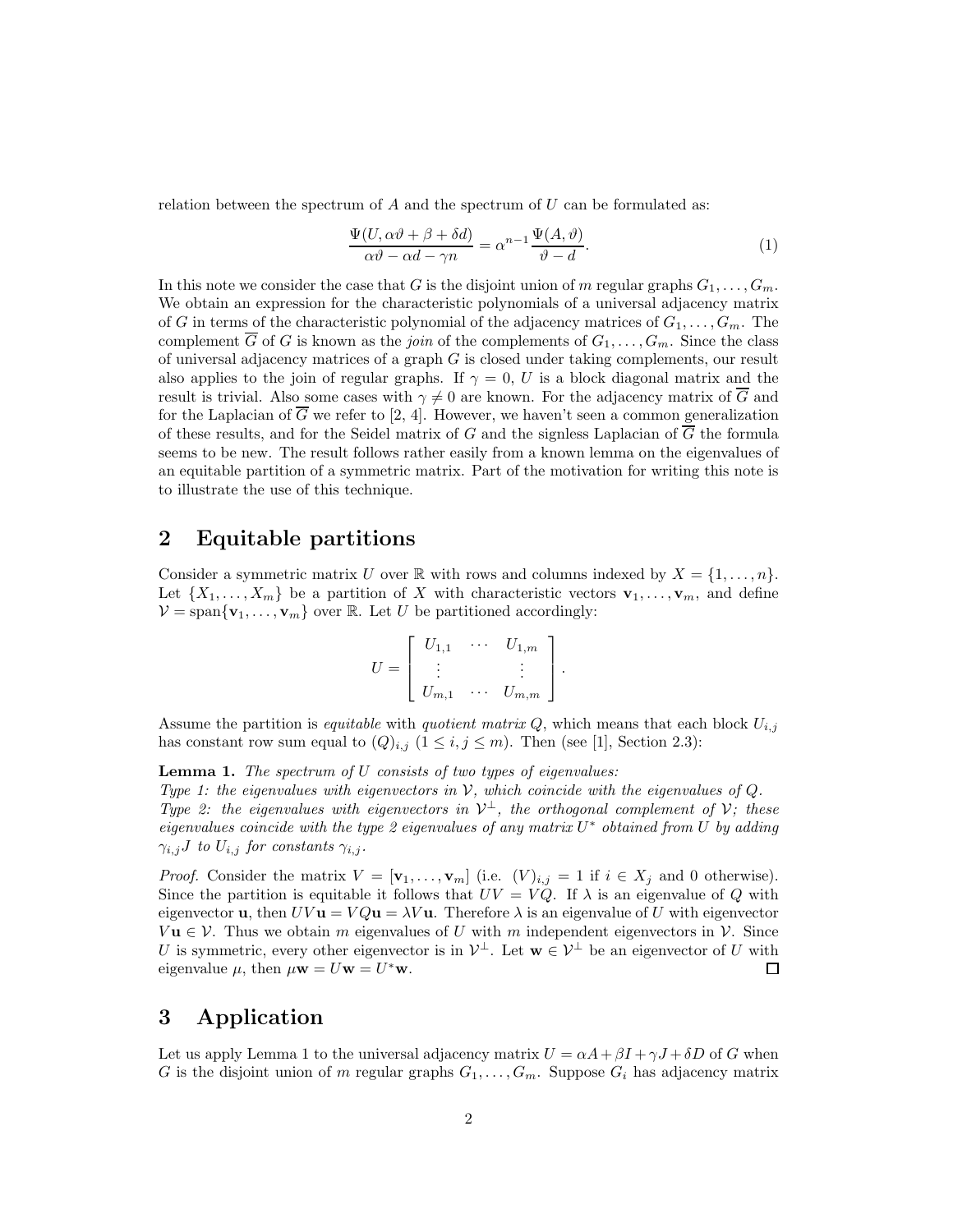relation between the spectrum of  $A$  and the spectrum of  $U$  can be formulated as:

$$
\frac{\Psi(U,\alpha\vartheta + \beta + \delta d)}{\alpha\vartheta - \alpha d - \gamma n} = \alpha^{n-1} \frac{\Psi(A,\vartheta)}{\vartheta - d}.
$$
\n(1)

In this note we consider the case that G is the disjoint union of m regular graphs  $G_1, \ldots, G_m$ . We obtain an expression for the characteristic polynomials of a universal adjacency matrix of G in terms of the characteristic polynomial of the adjacency matrices of  $G_1, \ldots, G_m$ . The complement  $\overline{G}$  of G is known as the *join* of the complements of  $G_1, \ldots, G_m$ . Since the class of universal adjacency matrices of a graph  $G$  is closed under taking complements, our result also applies to the join of regular graphs. If  $\gamma = 0$ , U is a block diagonal matrix and the result is trivial. Also some cases with  $\gamma \neq 0$  are known. For the adjacency matrix of  $\overline{G}$  and for the Laplacian of  $\overline{G}$  we refer to [2, 4]. However, we haven't seen a common generalization of these results, and for the Seidel matrix of G and the signless Laplacian of  $\overline{G}$  the formula seems to be new. The result follows rather easily from a known lemma on the eigenvalues of an equitable partition of a symmetric matrix. Part of the motivation for writing this note is to illustrate the use of this technique.

### 2 Equitable partitions

Consider a symmetric matrix U over R with rows and columns indexed by  $X = \{1, \ldots, n\}$ . Let  $\{X_1, \ldots, X_m\}$  be a partition of X with characteristic vectors  $\mathbf{v}_1, \ldots, \mathbf{v}_m$ , and define  $V = \text{span}\{\mathbf{v}_1, \dots, \mathbf{v}_m\}$  over R. Let U be partitioned accordingly:

$$
U = \begin{bmatrix} U_{1,1} & \cdots & U_{1,m} \\ \vdots & & \vdots \\ U_{m,1} & \cdots & U_{m,m} \end{bmatrix}.
$$

Assume the partition is *equitable* with *quotient matrix*  $Q$ , which means that each block  $U_{i,j}$ has constant row sum equal to  $(Q)_{i,j}$   $(1 \leq i,j \leq m)$ . Then (see [1], Section 2.3):

Lemma 1. *The spectrum of* U *consists of two types of eigenvalues: Type 1: the eigenvalues with eigenvectors in* V*, which coincide with the eigenvalues of* Q*. Type 2: the eigenvalues with eigenvectors in*  $V^{\perp}$ *, the orthogonal complement of*  $V$ *; these eigenvalues coincide with the type 2 eigenvalues of any matrix* U <sup>∗</sup> *obtained from* U *by adding*  $\gamma_{i,j}$ *J* to  $U_{i,j}$  for constants  $\gamma_{i,j}$ .

*Proof.* Consider the matrix  $V = [\mathbf{v}_1, \dots, \mathbf{v}_m]$  (i.e.  $(V)_{i,j} = 1$  if  $i \in X_j$  and 0 otherwise). Since the partition is equitable it follows that  $UV = VQ$ . If  $\lambda$  is an eigenvalue of Q with eigenvector **u**, then  $UV$ **u** =  $VQu = \lambda V$ **u**. Therefore  $\lambda$  is an eigenvalue of U with eigenvector  $V\mathbf{u}\in\mathcal{V}$ . Thus we obtain m eigenvalues of U with m independent eigenvectors in V. Since U is symmetric, every other eigenvector is in  $\mathcal{V}^{\perp}$ . Let  $\mathbf{w} \in \mathcal{V}^{\perp}$  be an eigenvector of U with eigenvalue  $\mu$ , then  $\mu \dot{\mathbf{w}} = U \mathbf{w} = U^* \mathbf{w}$ .  $\Box$ 

### 3 Application

Let us apply Lemma 1 to the universal adjacency matrix  $U = \alpha A + \beta I + \gamma J + \delta D$  of G when G is the disjoint union of m regular graphs  $G_1, \ldots, G_m$ . Suppose  $G_i$  has adjacency matrix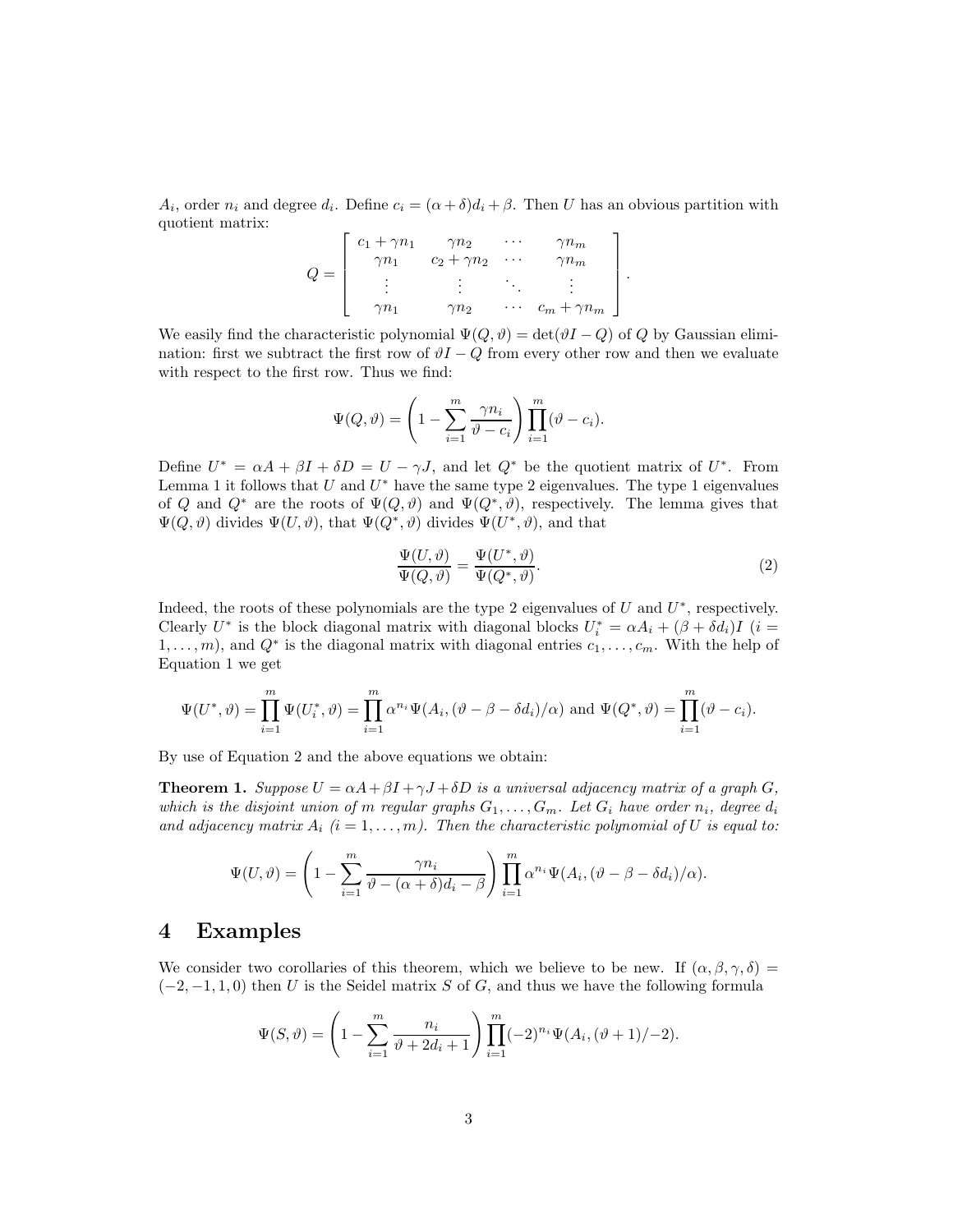$A_i$ , order  $n_i$  and degree  $d_i$ . Define  $c_i = (\alpha + \delta)d_i + \beta$ . Then U has an obvious partition with quotient matrix:

$$
Q = \begin{bmatrix} c_1 + \gamma n_1 & \gamma n_2 & \cdots & \gamma n_m \\ \gamma n_1 & c_2 + \gamma n_2 & \cdots & \gamma n_m \\ \vdots & \vdots & \ddots & \vdots \\ \gamma n_1 & \gamma n_2 & \cdots & c_m + \gamma n_m \end{bmatrix}.
$$

We easily find the characteristic polynomial  $\Psi(Q, \vartheta) = \det(\vartheta I - Q)$  of Q by Gaussian elimination: first we subtract the first row of  $\vartheta I - Q$  from every other row and then we evaluate with respect to the first row. Thus we find:

$$
\Psi(Q,\vartheta) = \left(1 - \sum_{i=1}^{m} \frac{\gamma n_i}{\vartheta - c_i}\right) \prod_{i=1}^{m} (\vartheta - c_i).
$$

Define  $U^* = \alpha A + \beta I + \delta D = U - \gamma J$ , and let  $Q^*$  be the quotient matrix of  $U^*$ . From Lemma 1 it follows that U and  $U^*$  have the same type 2 eigenvalues. The type 1 eigenvalues of Q and  $Q^*$  are the roots of  $\Psi(Q, \vartheta)$  and  $\Psi(Q^*, \vartheta)$ , respectively. The lemma gives that  $\Psi(Q, \vartheta)$  divides  $\Psi(U, \vartheta)$ , that  $\Psi(Q^*, \vartheta)$  divides  $\Psi(U^*, \vartheta)$ , and that

$$
\frac{\Psi(U,\vartheta)}{\Psi(Q,\vartheta)} = \frac{\Psi(U^*,\vartheta)}{\Psi(Q^*,\vartheta)}.
$$
\n(2)

Indeed, the roots of these polynomials are the type 2 eigenvalues of  $U$  and  $U^*$ , respectively. Clearly  $U^*$  is the block diagonal matrix with diagonal blocks  $U_i^* = \alpha A_i + (\beta + \delta d_i)I$  (i =  $1, \ldots, m$ , and  $Q^*$  is the diagonal matrix with diagonal entries  $c_1, \ldots, c_m$ . With the help of Equation 1 we get

$$
\Psi(U^*,\vartheta) = \prod_{i=1}^m \Psi(U_i^*,\vartheta) = \prod_{i=1}^m \alpha^{n_i} \Psi(A_i, (\vartheta - \beta - \delta d_i)/\alpha) \text{ and } \Psi(Q^*,\vartheta) = \prod_{i=1}^m (\vartheta - c_i).
$$

By use of Equation 2 and the above equations we obtain:

**Theorem 1.** *Suppose*  $U = \alpha A + \beta I + \gamma J + \delta D$  *is a universal adjacency matrix of a graph*  $G$ , *which is the disjoint union of* m *regular graphs*  $G_1, \ldots, G_m$ . Let  $G_i$  have order  $n_i$ , degree  $d_i$ and adjacency matrix  $A_i$   $(i = 1, \ldots, m)$ . Then the characteristic polynomial of U is equal to:

$$
\Psi(U,\vartheta)=\left(1-\sum_{i=1}^m\frac{\gamma n_i}{\vartheta-(\alpha+\delta)d_i-\beta}\right)\prod_{i=1}^m\alpha^{n_i}\Psi(A_i,(\vartheta-\beta-\delta d_i)/\alpha).
$$

#### 4 Examples

We consider two corollaries of this theorem, which we believe to be new. If  $(\alpha, \beta, \gamma, \delta)$  =  $(-2, -1, 1, 0)$  then U is the Seidel matrix S of G, and thus we have the following formula

$$
\Psi(S,\vartheta) = \left(1 - \sum_{i=1}^{m} \frac{n_i}{\vartheta + 2d_i + 1}\right) \prod_{i=1}^{m} (-2)^{n_i} \Psi(A_i, (\vartheta + 1)/-2).
$$